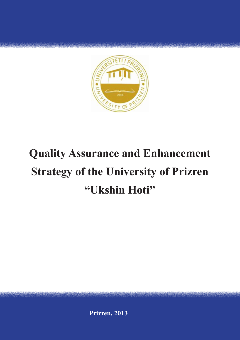

# **Quality Assurance and Enhancement Strategy of the University of Prizren "Ukshin Hoti"**

**Prizren, 2013**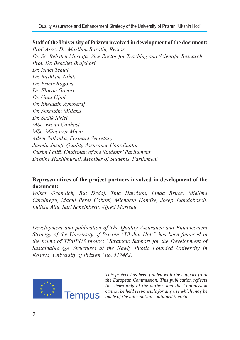Quality Assurance and Enhancement Strategy of the University of Prizren "Ukshin Hoti"

#### **Staff of the University of Prizren involved in development of the document:**

*Prof. Asoc. Dr. Mazllum Baraliu, Rector Dr. Sc. Behxhet Mustafa, Vice Rector for Teaching and Scientific Research Prof. Dr. Behxhet Brajshori Dr. Ismet Temaj Dr. Bashkim Zahiti Dr. Ermir Rogova Dr. Florije Govori Dr. Gani Gjini Dr. Xheladin Zymberaj Dr. Shkelqim Millaku Dr. Sadik Idrizi MSc. Ercan Canhasi MSc. Münevver Muyo Adem Sallauka, Permant Secretary Jasmin Jusufi, Quality Assurance Coordinator Durim Latifi, Chairman of the Students' Parliament Demine Haxhimurati, Member of Students' Parliament* 

#### **Representatives of the project partners involved in development of the document:**

*Volker Gehmlich, But Dedaj, Tina Harrison, Linda Bruce, Mjellma Carabregu, Magui Perez Cabani, Michaela Handke, Josep Juandobosch, Luljeta Aliu, Sari Scheinberg, Alfred Marleku*

*Development and publication of The Quality Assurance and Enhancement Strategy of the University of Prizren "Ukshin Hoti" has been financed in the frame of TEMPUS project "Strategic Support for the Development of Sustainable QA Structures at the Newly Public Founded University in Kosova, University of Prizren" no. 517482.*



*This project has been funded with the support from the European Commission. This publication reflects the views only of the author, and the Commission cannot be held responsible for any use which may be made of the information contained therein.*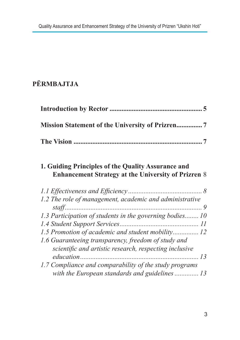## **PËRMBAJTJA**

#### **1. Guiding Principles of the Quality Assurance and Enhancement Strategy at the University of Prizren** 8

| 1.2 The role of management, academic and administrative  |  |
|----------------------------------------------------------|--|
|                                                          |  |
| 1.3 Participation of students in the governing bodies 10 |  |
|                                                          |  |
| 1.5 Promotion of academic and student mobility 12        |  |
| 1.6 Guaranteeing transparency, freedom of study and      |  |
| scientific and artistic research, respecting inclusive   |  |
|                                                          |  |
| 1.7 Compliance and comparability of the study programs   |  |
| with the European standards and guidelines  13           |  |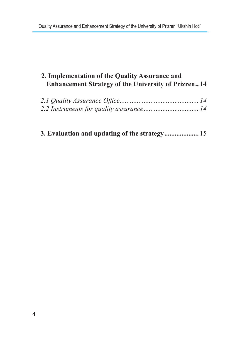## **2. Implementation of the Quality Assurance and Enhancement Strategy of the University of Prizren..** 14

|  |  | 3. Evaluation and updating of the strategy 15 |  |
|--|--|-----------------------------------------------|--|
|  |  |                                               |  |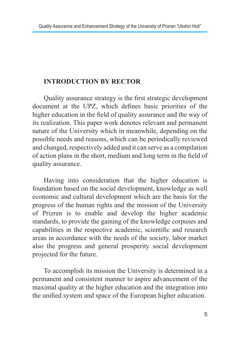#### **INTRODUCTION BY RECTOR**

Quality assurance strategy is the first strategic development document at the UPZ, which defines basic priorities of the higher education in the field of quality assurance and the way of its realization. This paper work denotes relevant and permanent nature of the University which in meanwhile, depending on the possible needs and reasons, which can be periodically reviewed and changed, respectively added and it can serve as a compilation of action plans in the short, medium and long term in the field of quality assurance.

Having into consideration that the higher education is foundation based on the social development, knowledge as well economic and cultural development which are the basis for the progress of the human rights and the mission of the University of Prizren is to enable and develop the higher academic standards, to provide the gaining of the knowledge corpuses and capabilities in the respective academic, scientific and research areas in accordance with the needs of the society, labor market also the progress and general prosperity social development projected for the future.

To accomplish its mission the University is determined in a permanent and consistent manner to aspire advancement of the maximal quality at the higher education and the integration into the unified system and space of the European higher education.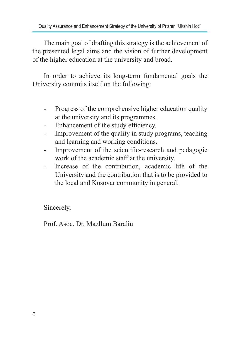The main goal of drafting this strategy is the achievement of the presented legal aims and the vision of further development of the higher education at the university and broad.

In order to achieve its long-term fundamental goals the University commits itself on the following:

- Progress of the comprehensive higher education quality at the university and its programmes.
- Enhancement of the study efficiency.
- Improvement of the quality in study programs, teaching and learning and working conditions.
- Improvement of the scientific-research and pedagogic work of the academic staff at the university.
- Increase of the contribution, academic life of the University and the contribution that is to be provided to the local and Kosovar community in general.

Sincerely,

Prof. Asoc. Dr. Mazllum Baraliu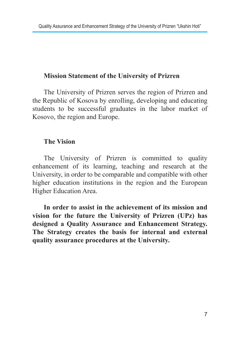#### **Mission Statement of the University of Prizren**

The University of Prizren serves the region of Prizren and the Republic of Kosova by enrolling, developing and educating students to be successful graduates in the labor market of Kosovo, the region and Europe.

#### **The Vision**

The University of Prizren is committed to quality enhancement of its learning, teaching and research at the University, in order to be comparable and compatible with other higher education institutions in the region and the European Higher Education Area.

**In order to assist in the achievement of its mission and vision for the future the University of Prizren (UPz) has designed a Quality Assurance and Enhancement Strategy. The Strategy creates the basis for internal and external quality assurance procedures at the University.**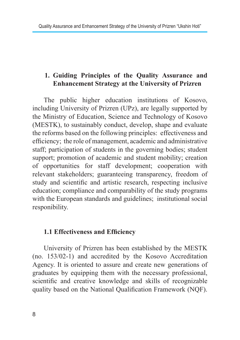### **1. Guiding Principles of the Quality Assurance and Enhancement Strategy at the University of Prizren**

The public higher education institutions of Kosovo, including University of Prizren (UPz), are legally supported by the Ministry of Education, Science and Technology of Kosovo (MESTK), to sustainably conduct, develop, shape and evaluate the reforms based on the following principles: effectiveness and efficiency; the role of management, academic and administrative staff; participation of students in the governing bodies; student support; promotion of academic and student mobility; creation of opportunities for staff development; cooperation with relevant stakeholders; guaranteeing transparency, freedom of study and scientific and artistic research, respecting inclusive education; compliance and comparability of the study programs with the European standards and guidelines; institutional social responibility.

#### **1.1 Effectiveness and Efficiency**

University of Prizren has been established by the MESTK (no. 153/02-1) and accredited by the Kosovo Accreditation Agency. It is oriented to assure and create new generations of graduates by equipping them with the necessary professional, scientific and creative knowledge and skills of recognizable quality based on the National Qualification Framework (NQF).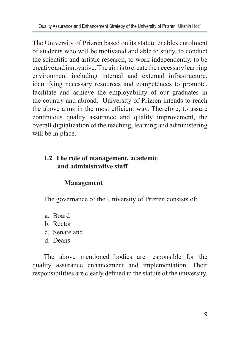The University of Prizren based on its statute enables enrolment of students who will be motivated and able to study, to conduct the scientific and artistic research, to work independently, to be creative and innovative. The aim is to create the necessary learning environment including internal and external infrastructure, identifying necessary resources and competences to promote, facilitate and achieve the employability of our graduates in the country and abroad. University of Prizren intends to reach the above aims in the most efficient way. Therefore, to assure continuous quality assurance and quality improvement, the overall digitalization of the teaching, learning and administering will be in place.

#### **1.2 The role of management, academic and administrative staff**

#### **Management**

The governance of the University of Prizren consists of:

- a. Board
- b. Rector
- c. Senate and
- d. Deans

The above mentioned bodies are responsible for the quality assurance enhancement and implementation. Their responsibilities are clearly defined in the statute of the university.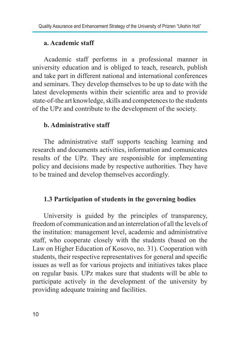#### **a. Academic staff**

Academic staff performs in a professional manner in university education and is obliged to teach, research, publish and take part in different national and international conferences and seminars. They develop themselves to be up to date with the latest developments within their scientific area and to provide state-of-the art knowledge, skills and competences to the students of the UPz and contribute to the development of the society.

#### **b. Administrative staff**

The administrative staff supports teaching learning and research and documents activities, information and comunicates results of the UPz. They are responisible for implementing policy and decisions made by respective authorities. They have to be trained and develop themselves accordingly.

#### **1.3 Participation of students in the governing bodies**

University is guided by the principles of transparency, freedom of communication and an interrelation of all the levels of the institution: management level, academic and administrative staff, who cooperate closely with the students (based on the Law on Higher Education of Kosovo, no. 31). Cooperation with students, their respective representatives for general and specific issues as well as for various projects and initiatives takes place on regular basis. UPz makes sure that students will be able to participate actively in the development of the university by providing adequate training and facilities.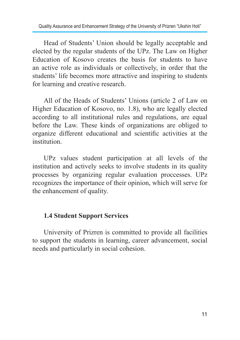Head of Students' Union should be legally acceptable and elected by the regular students of the UPz. The Law on Higher Education of Kosovo creates the basis for students to have an active role as individuals or collectively, in order that the students' life becomes more attractive and inspiring to students for learning and creative research.

All of the Heads of Students' Unions (article 2 of Law on Higher Education of Kosovo, no. 1.8), who are legally elected according to all institutional rules and regulations, are equal before the Law. These kinds of organizations are obliged to organize different educational and scientific activities at the institution.

UPz values student participation at all levels of the institution and actively seeks to involve students in its quality processes by organizing regular evaluation proccesses. UPz recognizes the importance of their opinion, which will serve for the enhancement of quality.

#### **1.4 Student Support Services**

University of Prizren is committed to provide all facilities to support the students in learning, career advancement, social needs and particularly in social cohesion.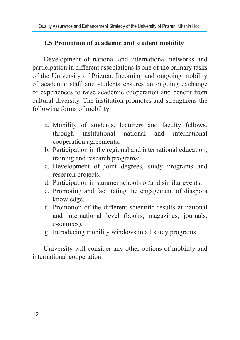#### **1.5 Promotion of academic and student mobility**

Development of national and international networks and participation in different associations is one of the primary tasks of the University of Prizren. Incoming and outgoing mobility of academic staff and students ensures an ongoing exchange of experiences to raise academic cooperation and benefit from cultural diversity. The institution promotes and strengthens the following forms of mobility:

- a. Mobility of students, lecturers and faculty fellows, through institutional national and international cooperation agreements;
- b. Participation in the regional and international education, training and research programs;
- c. Development of joint degrees, study programs and research projects.
- d. Participation in summer schools or/and similar events;
- e. Promoting and facilitating the engagement of diaspora knowledge.
- f. Promotion of the different scientific results at national and international level (books, magazines, journals, e-sources);
- g. Introducing mobility windows in all study programs

University will consider any other options of mobility and international cooperation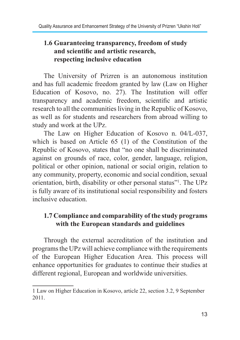#### **1.6 Guaranteeing transparency, freedom of study and scientific and artistic research, respecting inclusive education**

The University of Prizren is an autonomous institution and has full academic freedom granted by law (Law on Higher Education of Kosovo, no. 27). The Institution will offer transparency and academic freedom, scientific and artistic research to all the communities living in the Republic of Kosovo, as well as for students and researchers from abroad willing to study and work at the UPz.

The Law on Higher Education of Kosovo n. 04/L-037, which is based on Article 65 (1) of the Constitution of the Republic of Kosovo, states that "no one shall be discriminated against on grounds of race, color, gender, language, religion, political or other opinion, national or social origin, relation to any community, property, economic and social condition, sexual orientation, birth, disability or other personal status"<sup>1</sup> . The UPz is fully aware of its institutional social responsibility and fosters inclusive education.

#### **1.7 Compliance and comparability of the study programs with the European standards and guidelines**

Through the external accreditation of the institution and programs the UPz will achieve compliance with the requirements of the European Higher Education Area. This process will enhance opportunities for graduates to continue their studies at different regional, European and worldwide universities.

<sup>1</sup> Law on Higher Education in Kosovo, article 22, section 3.2, 9 September 2011.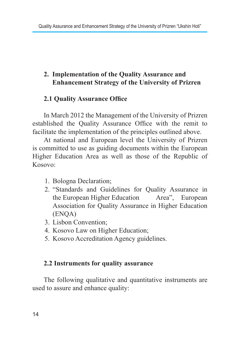#### **2. Implementation of the Quality Assurance and Enhancement Strategy of the University of Prizren**

#### **2.1 Quality Assurance Office**

In March 2012 the Management of the University of Prizren established the Quality Assurance Office with the remit to facilitate the implementation of the principles outlined above.

At national and European level the University of Prizren is committed to use as guiding documents within the European Higher Education Area as well as those of the Republic of Kosovo:

- 1. Bologna Declaration;
- 2. "Standards and Guidelines for Quality Assurance in the European Higher Education Area", European Association for Quality Assurance in Higher Education (ENQA)
- 3. Lisbon Convention;
- 4. Kosovo Law on Higher Education;
- 5. Kosovo Accreditation Agency guidelines.

#### **2.2 Instruments for quality assurance**

The following qualitative and quantitative instruments are used to assure and enhance quality: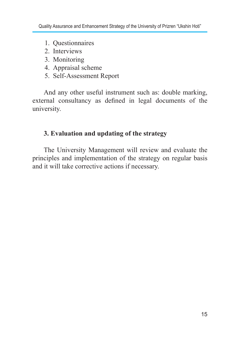- 1. Questionnaires
- 2. Interviews
- 3. Monitoring
- 4. Appraisal scheme
- 5. Self-Assessment Report

And any other useful instrument such as: double marking, external consultancy as defined in legal documents of the university.

#### **3. Evaluation and updating of the strategy**

The University Management will review and evaluate the principles and implementation of the strategy on regular basis and it will take corrective actions if necessary.